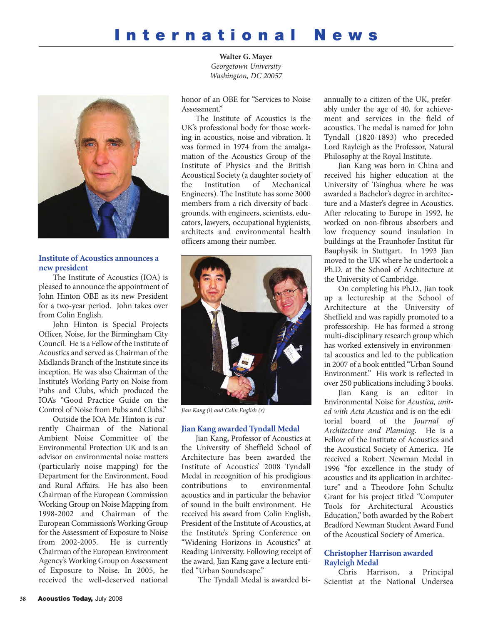



## **Institute of Acoustics announces a new president**

The Institute of Acoustics (IOA) is pleased to announce the appointment of John Hinton OBE as its new President for a two-year period. John takes over from Colin English.

John Hinton is Special Projects Officer, Noise, for the Birmingham City Council. He is a Fellow of the Institute of Acoustics and served as Chairman of the Midlands Branch of the Institute since its inception. He was also Chairman of the Institute's Working Party on Noise from Pubs and Clubs, which produced the IOA's "Good Practice Guide on the Control of Noise from Pubs and Clubs."

Outside the IOA Mr. Hinton is currently Chairman of the National Ambient Noise Committee of the Environmental Protection UK and is an advisor on environmental noise matters (particularly noise mapping) for the Department for the Environment, Food and Rural Affairs. He has also been Chairman of the European Commission Working Group on Noise Mapping from 1998-2002 and Chairman of the European Commission's Working Group for the Assessment of Exposure to Noise from 2002-2005. He is currently Chairman of the European Environment Agency's Working Group on Assessment of Exposure to Noise. In 2005, he received the well-deserved national

honor of an OBE for "Services to Noise Assessment."

The Institute of Acoustics is the UK's professional body for those working in acoustics, noise and vibration. It was formed in 1974 from the amalgamation of the Acoustics Group of the Institute of Physics and the British Acoustical Society (a daughter society of<br>the Institution of Mechanical the Institution of Mechanical Engineers). The Institute has some 3000 members from a rich diversity of backgrounds, with engineers, scientists, educators, lawyers, occupational hygienists, architects and environmental health officers among their number.



*Jian Kang (l) and Colin English (r)*

#### **Jian Kang awarded Tyndall Medal**

Jian Kang, Professor of Acoustics at the University of Sheffield School of Architecture has been awarded the Institute of Acoustics' 2008 Tyndall Medal in recognition of his prodigious<br>contributions to environmental environmental acoustics and in particular the behavior of sound in the built environment. He received his award from Colin English, President of the Institute of Acoustics, at the Institute's Spring Conference on "Widening Horizons in Acoustics" at Reading University. Following receipt of the award, Jian Kang gave a lecture entitled "Urban Soundscape."

The Tyndall Medal is awarded bi-

annually to a citizen of the UK, preferably under the age of 40, for achievement and services in the field of acoustics. The medal is named for John Tyndall (1820-1893) who preceded Lord Rayleigh as the Professor, Natural Philosophy at the Royal Institute.

Jian Kang was born in China and received his higher education at the University of Tsinghua where he was awarded a Bachelor's degree in architecture and a Master's degree in Acoustics. After relocating to Europe in 1992, he worked on non-fibrous absorbers and low frequency sound insulation in buildings at the Fraunhofer-Institut für Bauphysik in Stuttgart. In 1993 Jian moved to the UK where he undertook a Ph.D. at the School of Architecture at the University of Cambridge.

On completing his Ph.D., Jian took up a lectureship at the School of Architecture at the University of Sheffield and was rapidly promoted to a professorship. He has formed a strong multi-disciplinary research group which has worked extensively in environmental acoustics and led to the publication in 2007 of a book entitled "Urban Sound Environment." His work is reflected in over 250 publications including 3 books.

Jian Kang is an editor in Environmental Noise for *Acustica, united with Acta Acustica* and is on the editorial board of the *Journal of Architecture and Planning*. He is a Fellow of the Institute of Acoustics and the Acoustical Society of America. He received a Robert Newman Medal in 1996 "for excellence in the study of acoustics and its application in architecture" and a Theodore John Schultz Grant for his project titled "Computer Tools for Architectural Acoustics Education," both awarded by the Robert Bradford Newman Student Award Fund of the Acoustical Society of America.

### **Christopher Harrison awarded Rayleigh Medal**

Chris Harrison, a Principal Scientist at the National Undersea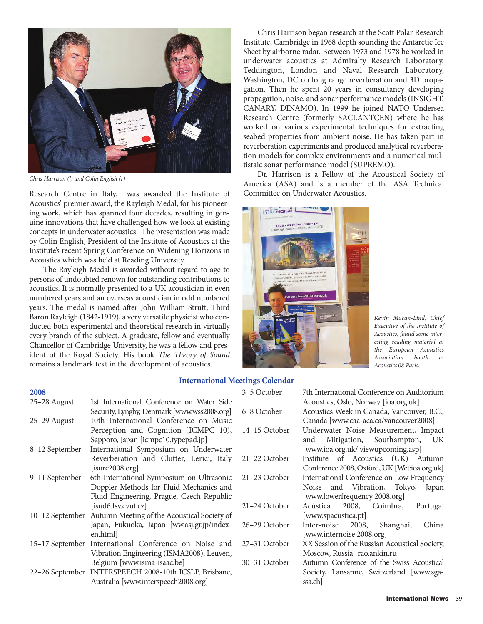

*Chris Harrison (l) and Colin English (r)*

Research Centre in Italy, was awarded the Institute of Acoustics' premier award, the Rayleigh Medal, for his pioneering work, which has spanned four decades, resulting in genuine innovations that have challenged how we look at existing concepts in underwater acoustics. The presentation was made by Colin English, President of the Institute of Acoustics at the Institute's recent Spring Conference on Widening Horizons in Acoustics which was held at Reading University.

The Rayleigh Medal is awarded without regard to age to persons of undoubted renown for outstanding contributions to acoustics. It is normally presented to a UK acoustician in even numbered years and an overseas acoustician in odd numbered years. The medal is named after John William Strutt, Third Baron Rayleigh (1842-1919), a very versatile physicist who conducted both experimental and theoretical research in virtually every branch of the subject. A graduate, fellow and eventually Chancellor of Cambridge University, he was a fellow and president of the Royal Society. His book *The Theory of Sound* remains a landmark text in the development of acoustics.

Chris Harrison began research at the Scott Polar Research Institute, Cambridge in 1968 depth sounding the Antarctic Ice Sheet by airborne radar. Between 1973 and 1978 he worked in underwater acoustics at Admiralty Research Laboratory, Teddington, London and Naval Research Laboratory, Washington, DC on long range reverberation and 3D propagation. Then he spent 20 years in consultancy developing propagation, noise, and sonar performance models (INSIGHT, CANARY, DINAMO). In 1999 he joined NATO Undersea Research Centre (formerly SACLANTCEN) where he has worked on various experimental techniques for extracting seabed properties from ambient noise. He has taken part in reverberation experiments and produced analytical reverberation models for complex environments and a numerical multistaic sonar performance model (SUPREMO).

Dr. Harrison is a Fellow of the Acoustical Society of America (ASA) and is a member of the ASA Technical Committee on Underwater Acoustics.



*Kevin Macan-Lind, Chief Executive of the Institute of Acoustics, found some interesting reading material at the European Acoustics*  $A$ *ssociation* booth *Acoustics'08 Paris.*

#### **International Meetings Calendar**

| 2008           |                                                             | 3-5 October   | 7th International Conference on Auditorium    |
|----------------|-------------------------------------------------------------|---------------|-----------------------------------------------|
| 25-28 August   | 1st International Conference on Water Side                  |               | Acoustics, Oslo, Norway [ioa.org.uk]          |
|                | Security, Lyngby, Denmark [www.wss2008.org]                 | 6–8 October   | Acoustics Week in Canada, Vancouver, B.C.,    |
| 25-29 August   | 10th International Conference on Music                      |               | Canada [www.caa-aca.ca/vancouver2008]         |
|                | Perception and Cognition (ICMPC 10),                        | 14-15 October | Underwater Noise Measurement, Impact          |
|                | Sapporo, Japan [icmpc10.typepad.jp]                         |               | Mitigation, Southampton, UK<br>and            |
| 8-12 September | International Symposium on Underwater                       |               | [www.ioa.org.uk/ viewupcoming.asp]            |
|                | Reverberation and Clutter, Lerici, Italy                    | 21-22 October | Institute of Acoustics (UK) Autumn            |
|                | [i <sub>surc</sub> 2008.org]                                |               | Conference 2008, Oxford, UK [Wet:ioa.org.uk]  |
| 9-11 September | 6th International Symposium on Ultrasonic                   | 21-23 October | International Conference on Low Frequency     |
|                | Doppler Methods for Fluid Mechanics and                     |               | Noise and Vibration, Tokyo, Japan             |
|                | Fluid Engineering, Prague, Czech Republic                   |               | [www.lowerfrequency 2008.org]                 |
|                | [isud6.fsv.cvut.cz]                                         | 21–24 October | Acústica 2008, Coimbra,<br>Portugal           |
|                | 10-12 September Autumn Meeting of the Acoustical Society of |               | [www.spacustica.pt]                           |
|                | Japan, Fukuoka, Japan [ww.asj.gr.jp/index-                  | 26–29 October | Inter-noise 2008,<br>Shanghai,<br>China       |
|                | en.html                                                     |               | [www.internoise 2008.org]                     |
|                | 15–17 September International Conference on Noise and       | 27–31 October | XX Session of the Russian Acoustical Society, |
|                | Vibration Engineering (ISMA2008), Leuven,                   |               | Moscow, Russia [rao.ankin.ru]                 |
|                | Belgium [www.isma-isaac.be]                                 | 30–31 October | Autumn Conference of the Swiss Acoustical     |
|                | 22-26 September INTERSPEECH 2008-10th ICSLP, Brisbane,      |               | Society, Lansanne, Switzerland [www.sga-      |
|                | Australia [www.interspeech2008.org]                         |               | ssa.ch                                        |